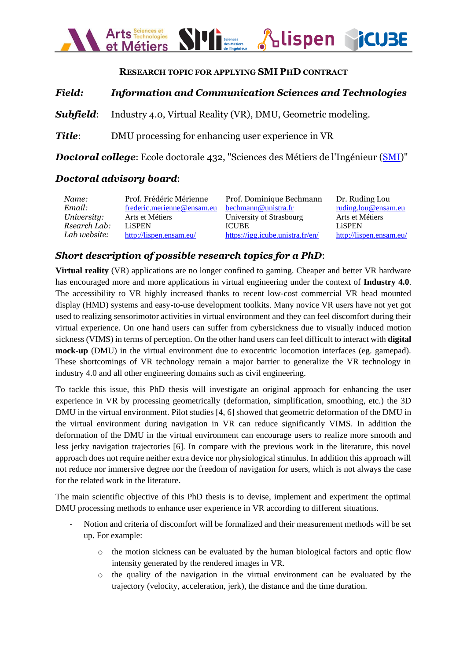

#### **RESEARCH TOPIC FOR APPLYING SMI PHD CONTRACT**

### *Field: Information and Communication Sciences and Technologies*

*Subfield*: Industry 4.0, Virtual Reality (VR), DMU, Geometric modeling.

*Title*: DMU processing for enhancing user experience in VR

*Doctoral college*: Ecole doctorale 432, "Sciences des Métiers de l'Ingénieur [\(SMI\)](https://edsmi.hesam.eu/)"

#### *Doctoral advisory board*:

| Name:        | Prof. Frédéric Mérienne    | Prof. Dominique Bechmann         | Dr. Ruding Lou          |
|--------------|----------------------------|----------------------------------|-------------------------|
| Email:       | frederic.merienne@ensam.eu | bechmann@unistra.fr              | ruding.lou@ensam.eu     |
| University:  | Arts et Métiers            | University of Strasbourg         | Arts et Métiers         |
| Rsearch Lab: | <b>LiSPEN</b>              | <b>ICUBE</b>                     | LiSPEN                  |
| Lab website: | http://lispen.ensam.eu/    | https://igg.icube.unistra.fr/en/ | http://lispen.ensam.eu/ |

# *Short description of possible research topics for a PhD*:

**Virtual reality** (VR) applications are no longer confined to gaming. Cheaper and better VR hardware has encouraged more and more applications in virtual engineering under the context of **Industry 4.0**. The accessibility to VR highly increased thanks to recent low-cost commercial VR head mounted display (HMD) systems and easy-to-use development toolkits. Many novice VR users have not yet got used to realizing sensorimotor activities in virtual environment and they can feel discomfort during their virtual experience. On one hand users can suffer from cybersickness due to visually induced motion sickness (VIMS) in terms of perception. On the other hand users can feel difficult to interact with **digital mock-up** (DMU) in the virtual environment due to exocentric locomotion interfaces (eg. gamepad). These shortcomings of VR technology remain a major barrier to generalize the VR technology in industry 4.0 and all other engineering domains such as civil engineering.

To tackle this issue, this PhD thesis will investigate an original approach for enhancing the user experience in VR by processing geometrically (deformation, simplification, smoothing, etc.) the 3D DMU in the virtual environment. Pilot studies [4, 6] showed that geometric deformation of the DMU in the virtual environment during navigation in VR can reduce significantly VIMS. In addition the deformation of the DMU in the virtual environment can encourage users to realize more smooth and less jerky navigation trajectories [6]. In compare with the previous work in the literature, this novel approach does not require neither extra device nor physiological stimulus. In addition this approach will not reduce nor immersive degree nor the freedom of navigation for users, which is not always the case for the related work in the literature.

The main scientific objective of this PhD thesis is to devise, implement and experiment the optimal DMU processing methods to enhance user experience in VR according to different situations.

- Notion and criteria of discomfort will be formalized and their measurement methods will be set up. For example:
	- o the motion sickness can be evaluated by the human biological factors and optic flow intensity generated by the rendered images in VR.
	- o the quality of the navigation in the virtual environment can be evaluated by the trajectory (velocity, acceleration, jerk), the distance and the time duration.